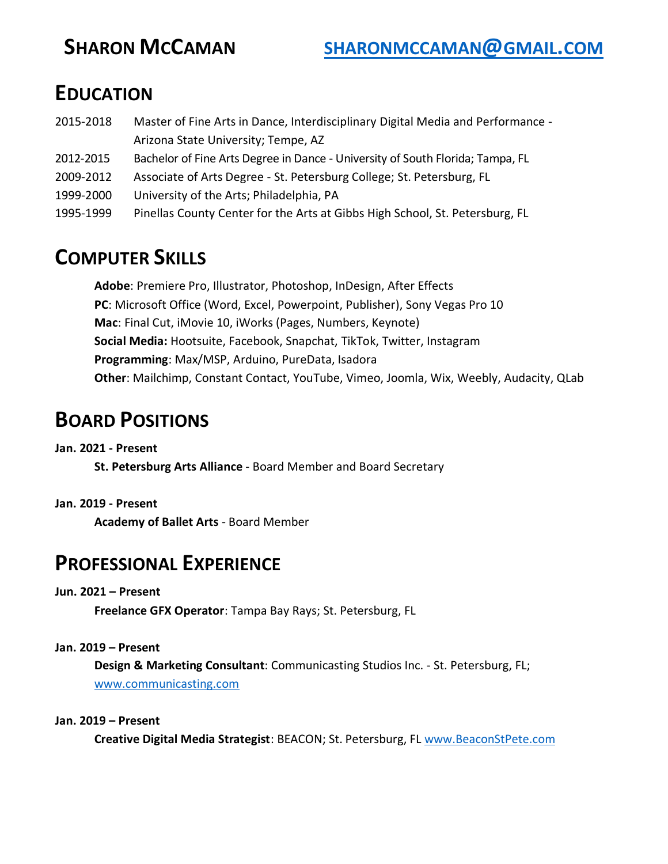# **EDUCATION**

- 2015-2018 Master of Fine Arts in Dance, Interdisciplinary Digital Media and Performance Arizona State University; Tempe, AZ
- 2012-2015 Bachelor of Fine Arts Degree in Dance University of South Florida; Tampa, FL
- 2009-2012 Associate of Arts Degree St. Petersburg College; St. Petersburg, FL
- 1999-2000 University of the Arts; Philadelphia, PA
- 1995-1999 Pinellas County Center for the Arts at Gibbs High School, St. Petersburg, FL

# **COMPUTER SKILLS**

**Adobe**: Premiere Pro, Illustrator, Photoshop, InDesign, After Effects **PC**: Microsoft Office (Word, Excel, Powerpoint, Publisher), Sony Vegas Pro 10 **Mac**: Final Cut, iMovie 10, iWorks (Pages, Numbers, Keynote) **Social Media:** Hootsuite, Facebook, Snapchat, TikTok, Twitter, Instagram **Programming**: Max/MSP, Arduino, PureData, Isadora **Other**: Mailchimp, Constant Contact, YouTube, Vimeo, Joomla, Wix, Weebly, Audacity, QLab

# **BOARD POSITIONS**

# **Jan. 2021 - Present**

**St. Petersburg Arts Alliance** - Board Member and Board Secretary

# **Jan. 2019 - Present**

**Academy of Ballet Arts** - Board Member

# **PROFESSIONAL EXPERIENCE**

# **Jun. 2021 – Present**

**Freelance GFX Operator**: Tampa Bay Rays; St. Petersburg, FL

# **Jan. 2019 – Present**

**Design & Marketing Consultant**: Communicasting Studios Inc. - St. Petersburg, FL; [www.communicasting.com](http://www.communicasting.com/)

#### **Jan. 2019 – Present**

**Creative Digital Media Strategist**: BEACON; St. Petersburg, FL [www.BeaconStPete.com](http://www.beaconstpete.com/)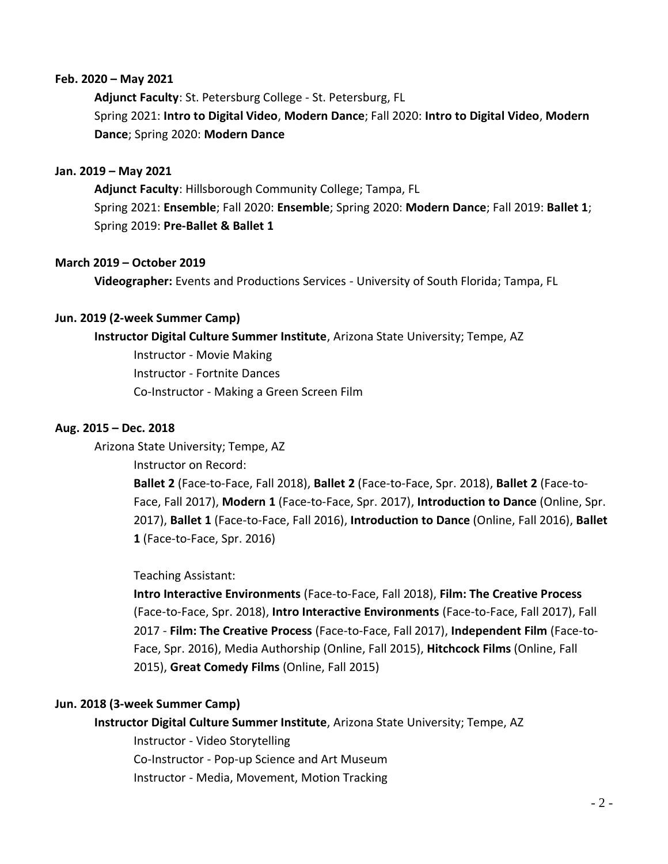#### **Feb. 2020 – May 2021**

**Adjunct Faculty**: St. Petersburg College - St. Petersburg, FL Spring 2021: **Intro to Digital Video**, **Modern Dance**; Fall 2020: **Intro to Digital Video**, **Modern Dance**; Spring 2020: **Modern Dance**

#### **Jan. 2019 – May 2021**

**Adjunct Faculty**: Hillsborough Community College; Tampa, FL Spring 2021: **Ensemble**; Fall 2020: **Ensemble**; Spring 2020: **Modern Dance**; Fall 2019: **Ballet 1**; Spring 2019: **Pre-Ballet & Ballet 1**

#### **March 2019 – October 2019**

**Videographer:** Events and Productions Services - University of South Florida; Tampa, FL

#### **Jun. 2019 (2-week Summer Camp)**

**Instructor Digital Culture Summer Institute**, Arizona State University; Tempe, AZ

Instructor - Movie Making Instructor - Fortnite Dances Co-Instructor - Making a Green Screen Film

#### **Aug. 2015 – Dec. 2018**

Arizona State University; Tempe, AZ

Instructor on Record:

**Ballet 2** (Face-to-Face, Fall 2018), **Ballet 2** (Face-to-Face, Spr. 2018), **Ballet 2** (Face-to-Face, Fall 2017), **Modern 1** (Face-to-Face, Spr. 2017), **Introduction to Dance** (Online, Spr. 2017), **Ballet 1** (Face-to-Face, Fall 2016), **Introduction to Dance** (Online, Fall 2016), **Ballet 1** (Face-to-Face, Spr. 2016)

#### Teaching Assistant:

**Intro Interactive Environments** (Face-to-Face, Fall 2018), **Film: The Creative Process** (Face-to-Face, Spr. 2018), **Intro Interactive Environments** (Face-to-Face, Fall 2017), Fall 2017 - **Film: The Creative Process** (Face-to-Face, Fall 2017), **Independent Film** (Face-to-Face, Spr. 2016), Media Authorship (Online, Fall 2015), **Hitchcock Films** (Online, Fall 2015), **Great Comedy Films** (Online, Fall 2015)

#### **Jun. 2018 (3-week Summer Camp)**

**Instructor Digital Culture Summer Institute**, Arizona State University; Tempe, AZ

Instructor - Video Storytelling Co-Instructor - Pop-up Science and Art Museum Instructor - Media, Movement, Motion Tracking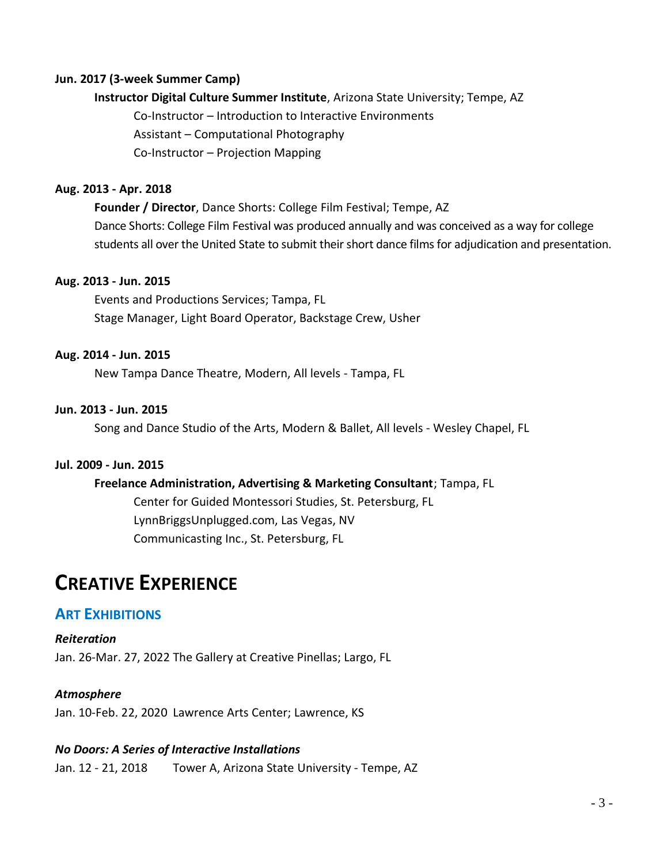#### **Jun. 2017 (3-week Summer Camp)**

#### **Instructor Digital Culture Summer Institute**, Arizona State University; Tempe, AZ

Co-Instructor – Introduction to Interactive Environments Assistant – Computational Photography

Co-Instructor – Projection Mapping

#### **Aug. 2013 - Apr. 2018**

**Founder / Director**, Dance Shorts: College Film Festival; Tempe, AZ Dance Shorts: College Film Festival was produced annually and was conceived as a way for college students all over the United State to submit their short dance films for adjudication and presentation.

#### **Aug. 2013 - Jun. 2015**

Events and Productions Services; Tampa, FL Stage Manager, Light Board Operator, Backstage Crew, Usher

#### **Aug. 2014 - Jun. 2015**

New Tampa Dance Theatre, Modern, All levels - Tampa, FL

#### **Jun. 2013 - Jun. 2015**

Song and Dance Studio of the Arts, Modern & Ballet, All levels - Wesley Chapel, FL

#### **Jul. 2009 - Jun. 2015**

#### **Freelance Administration, Advertising & Marketing Consultant**; Tampa, FL

Center for Guided Montessori Studies, St. Petersburg, FL LynnBriggsUnplugged.com, Las Vegas, NV Communicasting Inc., St. Petersburg, FL

# **CREATIVE EXPERIENCE**

# **ART EXHIBITIONS**

*Reiteration* Jan. 26-Mar. 27, 2022 The Gallery at Creative Pinellas; Largo, FL

#### *Atmosphere*

Jan. 10-Feb. 22, 2020 Lawrence Arts Center; Lawrence, KS

#### *No Doors: A Series of Interactive Installations*

Jan. 12 - 21, 2018 Tower A, Arizona State University - Tempe, AZ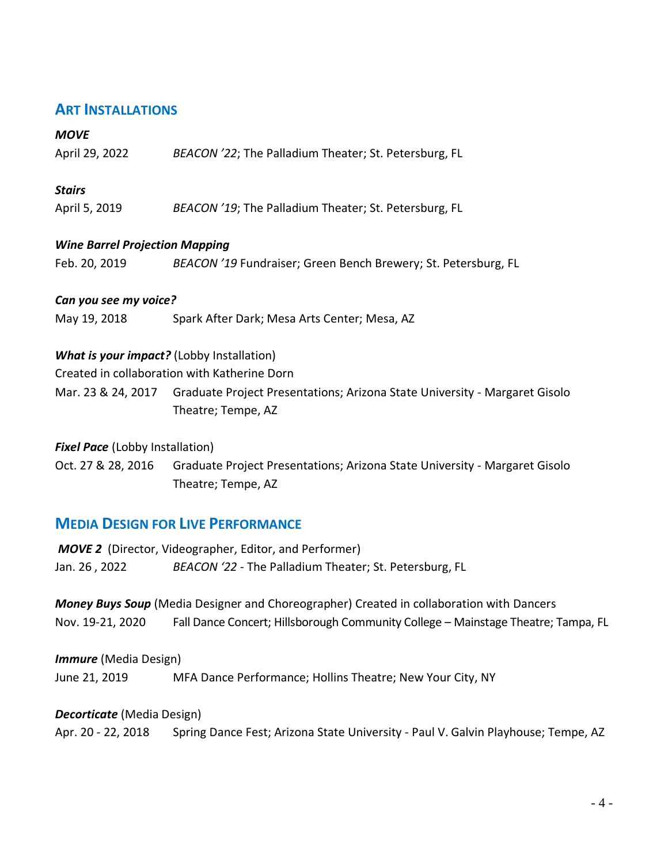# **ART INSTALLATIONS**

### *MOVE*

| April 29, 2022 | BEACON '22; The Palladium Theater; St. Petersburg, FL |  |
|----------------|-------------------------------------------------------|--|

### *Stairs*

April 5, 2019 *BEACON '19*; The Palladium Theater; St. Petersburg, FL

### *Wine Barrel Projection Mapping*

| Feb. 20, 2019 | BEACON '19 Fundraiser; Green Bench Brewery; St. Petersburg, FL |
|---------------|----------------------------------------------------------------|
|---------------|----------------------------------------------------------------|

#### *Can you see my voice?*

May 19, 2018 Spark After Dark; Mesa Arts Center; Mesa, AZ

# *What is your impact?* (Lobby Installation)

Created in collaboration with Katherine Dorn

Mar. 23 & 24, 2017 Graduate Project Presentations; Arizona State University - Margaret Gisolo Theatre; Tempe, AZ

### *Fixel Pace* (Lobby Installation)

Oct. 27 & 28, 2016 Graduate Project Presentations; Arizona State University - Margaret Gisolo Theatre; Tempe, AZ

# **MEDIA DESIGN FOR LIVE PERFORMANCE**

*MOVE 2* (Director, Videographer, Editor, and Performer) Jan. 26 , 2022 *BEACON '22 -* The Palladium Theater; St. Petersburg, FL

*Money Buys Soup* (Media Designer and Choreographer) Created in collaboration with Dancers Nov. 19-21, 2020 Fall Dance Concert; Hillsborough Community College – Mainstage Theatre; Tampa, FL

*Immure* (Media Design) June 21, 2019 MFA Dance Performance; Hollins Theatre; New Your City, NY

#### *Decorticate* (Media Design)

Apr. 20 - 22, 2018 Spring Dance Fest; Arizona State University - Paul V. Galvin Playhouse; Tempe, AZ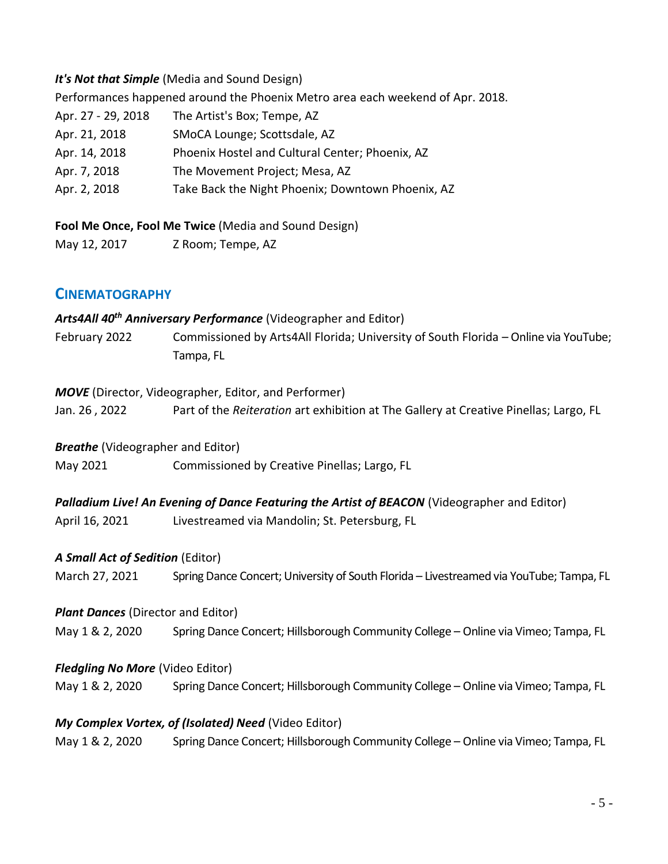### *It's Not that Simple* (Media and Sound Design)

Performances happened around the Phoenix Metro area each weekend of Apr. 2018.

| Apr. 27 - 29, 2018 | The Artist's Box; Tempe, AZ                       |
|--------------------|---------------------------------------------------|
| Apr. 21, 2018      | SMoCA Lounge; Scottsdale, AZ                      |
| Apr. 14, 2018      | Phoenix Hostel and Cultural Center; Phoenix, AZ   |
| Apr. 7, 2018       | The Movement Project; Mesa, AZ                    |
| Apr. 2, 2018       | Take Back the Night Phoenix; Downtown Phoenix, AZ |
|                    |                                                   |

**Fool Me Once, Fool Me Twice** (Media and Sound Design)

May 12, 2017 Z Room; Tempe, AZ

# **CINEMATOGRAPHY**

*Arts4All 40th Anniversary Performance* (Videographer and Editor) February 2022 Commissioned by Arts4All Florida; University of South Florida – Online via YouTube; Tampa, FL

#### *MOVE* (Director, Videographer, Editor, and Performer)

Jan. 26 , 2022 Part of the *Reiteration* art exhibition at The Gallery at Creative Pinellas; Largo, FL

#### *Breathe* (Videographer and Editor)

May 2021 Commissioned by Creative Pinellas; Largo, FL

**Palladium Live! An Evening of Dance Featuring the Artist of BEACON (Videographer and Editor)** 

April 16, 2021 Livestreamed via Mandolin; St. Petersburg, FL

# *A Small Act of Sedition* (Editor)

March 27, 2021 Spring Dance Concert; University of South Florida – Livestreamed via YouTube; Tampa, FL

#### *Plant Dances (Director and Editor)*

May 1 & 2, 2020 Spring Dance Concert; Hillsborough Community College – Online via Vimeo; Tampa, FL

# *Fledgling No More* (Video Editor)

May 1 & 2, 2020 Spring Dance Concert; Hillsborough Community College – Online via Vimeo; Tampa, FL

# *My Complex Vortex, of (Isolated) Need* (Video Editor)

May 1 & 2, 2020 Spring Dance Concert; Hillsborough Community College – Online via Vimeo; Tampa, FL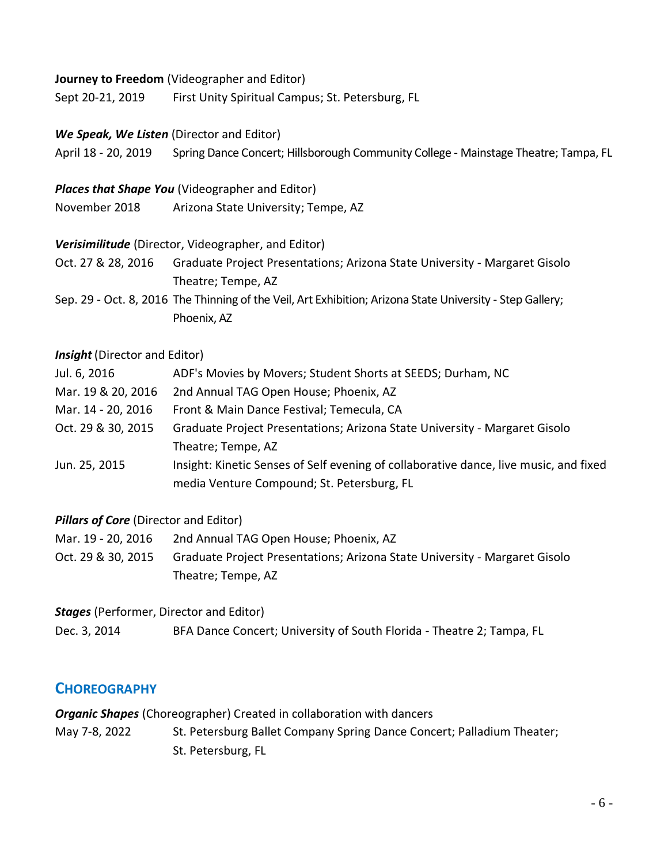#### **Journey to Freedom** (Videographer and Editor)

Sept 20-21, 2019 First Unity Spiritual Campus; St. Petersburg, FL

### *We Speak, We Listen* (Director and Editor)

April 18 - 20, 2019 Spring Dance Concert; Hillsborough Community College - Mainstage Theatre; Tampa, FL

### *Places that Shape You* (Videographer and Editor)

November 2018 Arizona State University; Tempe, AZ

# *Verisimilitude* (Director, Videographer, and Editor)

Oct. 27 & 28, 2016 Graduate Project Presentations; Arizona State University - Margaret Gisolo Theatre; Tempe, AZ

Sep. 29 - Oct. 8, 2016 The Thinning of the Veil, Art Exhibition; Arizona State University - Step Gallery; Phoenix, AZ

### *Insight* (Director and Editor)

| ADF's Movies by Movers; Student Shorts at SEEDS; Durham, NC                           |
|---------------------------------------------------------------------------------------|
| 2nd Annual TAG Open House; Phoenix, AZ                                                |
| Front & Main Dance Festival; Temecula, CA                                             |
| Graduate Project Presentations; Arizona State University - Margaret Gisolo            |
| Theatre; Tempe, AZ                                                                    |
| Insight: Kinetic Senses of Self evening of collaborative dance, live music, and fixed |
| media Venture Compound; St. Petersburg, FL                                            |
|                                                                                       |

# *Pillars of Core* (Director and Editor)

- Mar. 19 20, 2016 2nd Annual TAG Open House; Phoenix, AZ
- Oct. 29 & 30, 2015 Graduate Project Presentations; Arizona State University Margaret Gisolo Theatre; Tempe, AZ

*Stages* (Performer, Director and Editor)

Dec. 3, 2014 BFA Dance Concert; University of South Florida - Theatre 2; Tampa, FL

# **CHOREOGRAPHY**

*Organic Shapes* (Choreographer) Created in collaboration with dancers May 7-8, 2022 St. Petersburg Ballet Company Spring Dance Concert; Palladium Theater; St. Petersburg, FL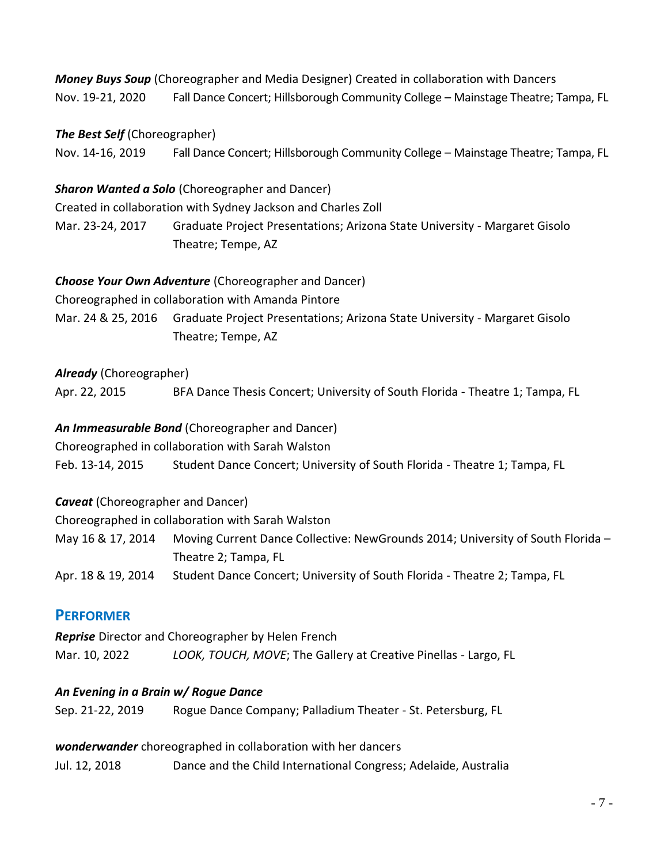*Money Buys Soup* (Choreographer and Media Designer) Created in collaboration with Dancers Nov. 19-21, 2020 Fall Dance Concert; Hillsborough Community College – Mainstage Theatre; Tampa, FL

# *The Best Self* (Choreographer)

Nov. 14-16, 2019 Fall Dance Concert; Hillsborough Community College – Mainstage Theatre; Tampa, FL

# *Sharon Wanted a Solo* (Choreographer and Dancer)

Created in collaboration with Sydney Jackson and Charles Zoll Mar. 23-24, 2017 Graduate Project Presentations; Arizona State University - Margaret Gisolo Theatre; Tempe, AZ

# *Choose Your Own Adventure* (Choreographer and Dancer)

Choreographed in collaboration with Amanda Pintore

Mar. 24 & 25, 2016 Graduate Project Presentations; Arizona State University - Margaret Gisolo Theatre; Tempe, AZ

# *Already* (Choreographer)

Apr. 22, 2015 BFA Dance Thesis Concert; University of South Florida - Theatre 1; Tampa, FL

# *An Immeasurable Bond* (Choreographer and Dancer)

Choreographed in collaboration with Sarah Walston

Feb. 13-14, 2015 Student Dance Concert; University of South Florida - Theatre 1; Tampa, FL

*Caveat* (Choreographer and Dancer)

Choreographed in collaboration with Sarah Walston

May 16 & 17, 2014 Moving Current Dance Collective: NewGrounds 2014; University of South Florida – Theatre 2; Tampa, FL

Apr. 18 & 19, 2014 Student Dance Concert; University of South Florida - Theatre 2; Tampa, FL

# **PERFORMER**

*Reprise* Director and Choreographer by Helen French

Mar. 10, 2022 *LOOK, TOUCH, MOVE*; The Gallery at Creative Pinellas - Largo, FL

# *An Evening in a Brain w/ Rogue Dance*

| Sep. 21-22, 2019 | Rogue Dance Company; Palladium Theater - St. Petersburg, FL |
|------------------|-------------------------------------------------------------|
|------------------|-------------------------------------------------------------|

# *wonderwander* choreographed in collaboration with her dancers

Jul. 12, 2018 Dance and the Child International Congress; Adelaide, Australia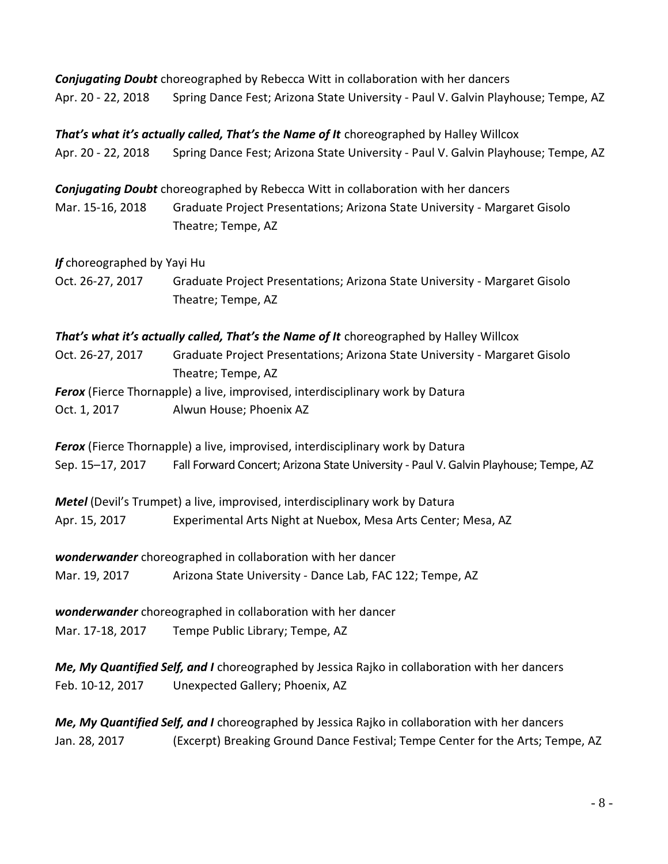*Conjugating Doubt* choreographed by Rebecca Witt in collaboration with her dancers Apr. 20 - 22, 2018 Spring Dance Fest; Arizona State University - Paul V. Galvin Playhouse; Tempe, AZ

*That's what it's actually called, That's the Name of It* choreographed by Halley Willcox Apr. 20 - 22, 2018 Spring Dance Fest; Arizona State University - Paul V. Galvin Playhouse; Tempe, AZ

*Conjugating Doubt* choreographed by Rebecca Witt in collaboration with her dancers Mar. 15-16, 2018 Graduate Project Presentations; Arizona State University - Margaret Gisolo Theatre; Tempe, AZ

*If* choreographed by Yayi Hu

Oct. 26-27, 2017 Graduate Project Presentations; Arizona State University - Margaret Gisolo Theatre; Tempe, AZ

*That's what it's actually called, That's the Name of It* choreographed by Halley Willcox

Oct. 26-27, 2017 Graduate Project Presentations; Arizona State University - Margaret Gisolo Theatre; Tempe, AZ

*Ferox* (Fierce Thornapple) a live, improvised, interdisciplinary work by Datura Oct. 1, 2017 Alwun House; Phoenix AZ

*Ferox* (Fierce Thornapple) a live, improvised, interdisciplinary work by Datura Sep. 15–17, 2017 Fall Forward Concert; Arizona State University - Paul V. Galvin Playhouse; Tempe, AZ

*Metel* (Devil's Trumpet) a live, improvised, interdisciplinary work by Datura Apr. 15, 2017 Experimental Arts Night at Nuebox, Mesa Arts Center; Mesa, AZ

*wonderwander* choreographed in collaboration with her dancer

Mar. 19, 2017 Arizona State University - Dance Lab, FAC 122; Tempe, AZ

*wonderwander* choreographed in collaboration with her dancer Mar. 17-18, 2017 Tempe Public Library; Tempe, AZ

*Me, My Quantified Self, and I* choreographed by Jessica Rajko in collaboration with her dancers Feb. 10-12, 2017 Unexpected Gallery; Phoenix, AZ

*Me, My Quantified Self, and I* choreographed by Jessica Rajko in collaboration with her dancers Jan. 28, 2017 (Excerpt) Breaking Ground Dance Festival; Tempe Center for the Arts; Tempe, AZ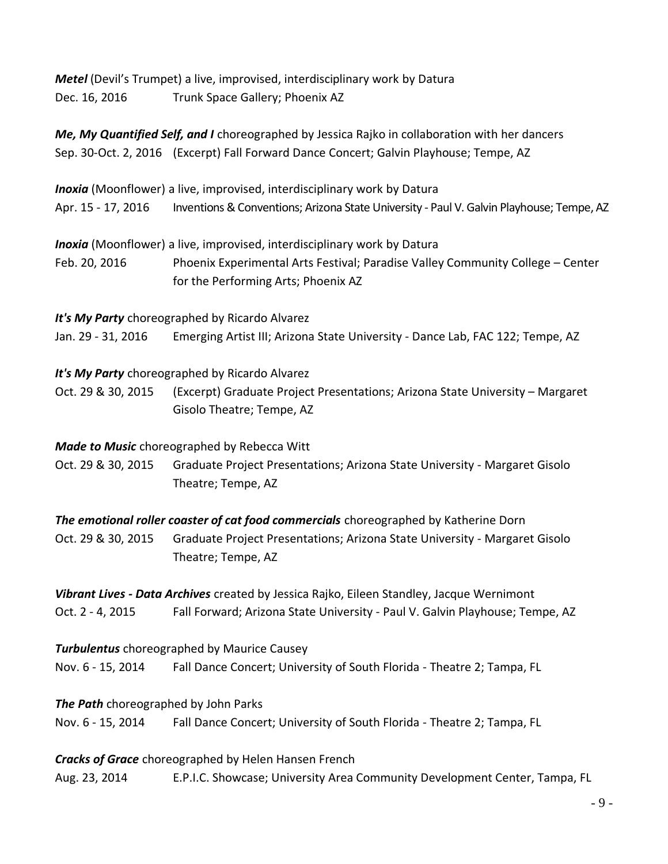*Metel* (Devil's Trumpet) a live, improvised, interdisciplinary work by Datura Dec. 16, 2016 Trunk Space Gallery; Phoenix AZ

*Me, My Quantified Self, and I* choreographed by Jessica Rajko in collaboration with her dancers Sep. 30-Oct. 2, 2016 (Excerpt) Fall Forward Dance Concert; Galvin Playhouse; Tempe, AZ

*Inoxia* (Moonflower) a live, improvised, interdisciplinary work by Datura

Apr. 15 - 17, 2016 Inventions & Conventions; Arizona State University - Paul V. Galvin Playhouse; Tempe, AZ

*Inoxia* (Moonflower) a live, improvised, interdisciplinary work by Datura

Feb. 20, 2016 Phoenix Experimental Arts Festival; Paradise Valley Community College – Center for the Performing Arts; Phoenix AZ

*It's My Party* choreographed by Ricardo Alvarez

Jan. 29 - 31, 2016 Emerging Artist III; Arizona State University - Dance Lab, FAC 122; Tempe, AZ

*It's My Party* choreographed by Ricardo Alvarez

Oct. 29 & 30, 2015 (Excerpt) Graduate Project Presentations; Arizona State University – Margaret Gisolo Theatre; Tempe, AZ

*Made to Music* choreographed by Rebecca Witt

Oct. 29 & 30, 2015 Graduate Project Presentations; Arizona State University - Margaret Gisolo Theatre; Tempe, AZ

*The emotional roller coaster of cat food commercials* choreographed by Katherine Dorn Oct. 29 & 30, 2015 Graduate Project Presentations; Arizona State University - Margaret Gisolo Theatre; Tempe, AZ

*Vibrant Lives - Data Archives* created by Jessica Rajko, Eileen Standley, Jacque Wernimont Oct. 2 - 4, 2015 Fall Forward; Arizona State University - Paul V. Galvin Playhouse; Tempe, AZ

*Turbulentus* choreographed by Maurice Causey Nov. 6 - 15, 2014 Fall Dance Concert; University of South Florida - Theatre 2; Tampa, FL

*The Path* choreographed by John Parks

Nov. 6 - 15, 2014 Fall Dance Concert; University of South Florida - Theatre 2; Tampa, FL

*Cracks of Grace* choreographed by Helen Hansen French

Aug. 23, 2014 E.P.I.C. Showcase; University Area Community Development Center, Tampa, FL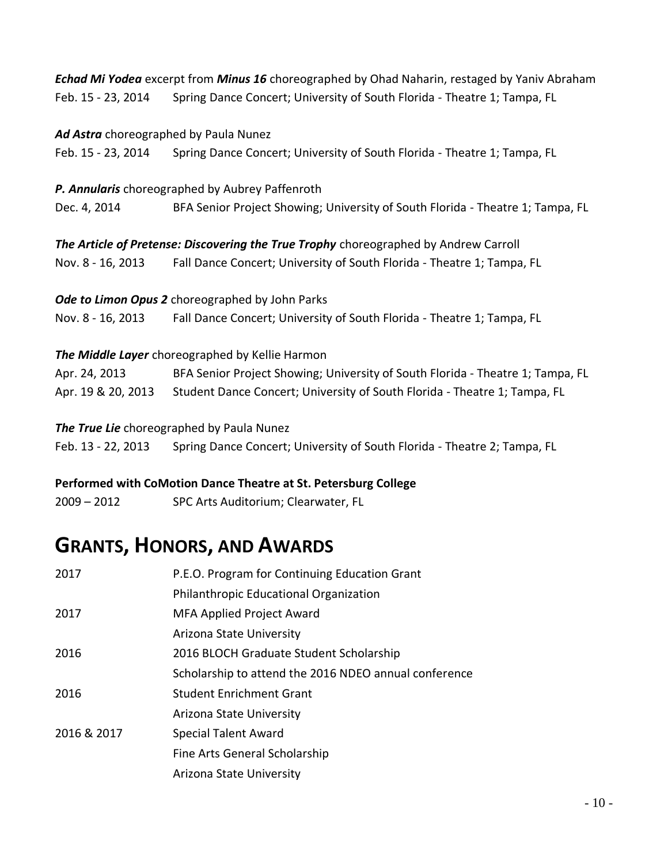*Echad Mi Yodea* excerpt from *Minus 16* choreographed by Ohad Naharin, restaged by Yaniv Abraham Feb. 15 - 23, 2014 Spring Dance Concert; University of South Florida - Theatre 1; Tampa, FL

|                    | Ad Astra choreographed by Paula Nunez                                                        |
|--------------------|----------------------------------------------------------------------------------------------|
| Feb. 15 - 23, 2014 | Spring Dance Concert; University of South Florida - Theatre 1; Tampa, FL                     |
|                    | P. Annularis choreographed by Aubrey Paffenroth                                              |
| Dec. 4, 2014       | BFA Senior Project Showing; University of South Florida - Theatre 1; Tampa, FL               |
|                    | The Article of Pretense: Discovering the True Trophy choreographed by Andrew Carroll         |
| Nov. 8 - 16, 2013  | Fall Dance Concert; University of South Florida - Theatre 1; Tampa, FL                       |
|                    | Ode to Limon Opus 2 choreographed by John Parks                                              |
| Nov. 8 - 16, 2013  | Fall Dance Concert; University of South Florida - Theatre 1; Tampa, FL                       |
|                    | The Middle Layer choreographed by Kellie Harmon                                              |
| Apr. 24, 2013      | BFA Senior Project Showing; University of South Florida - Theatre 1; Tampa, FL               |
|                    | Apr. 19 & 20, 2013 Student Dance Concert; University of South Florida - Theatre 1; Tampa, FL |
|                    | The True Lie choreographed by Paula Nunez                                                    |
| Feb. 13 - 22, 2013 | Spring Dance Concert; University of South Florida - Theatre 2; Tampa, FL                     |

# **Performed with CoMotion Dance Theatre at St. Petersburg College**

2009 – 2012 SPC Arts Auditorium; Clearwater, FL

# **GRANTS, HONORS, AND AWARDS**

| 2017        | P.E.O. Program for Continuing Education Grant         |
|-------------|-------------------------------------------------------|
|             | Philanthropic Educational Organization                |
| 2017        | <b>MFA Applied Project Award</b>                      |
|             | Arizona State University                              |
| 2016        | 2016 BLOCH Graduate Student Scholarship               |
|             | Scholarship to attend the 2016 NDEO annual conference |
| 2016        | <b>Student Enrichment Grant</b>                       |
|             | Arizona State University                              |
| 2016 & 2017 | <b>Special Talent Award</b>                           |
|             | Fine Arts General Scholarship                         |
|             | Arizona State University                              |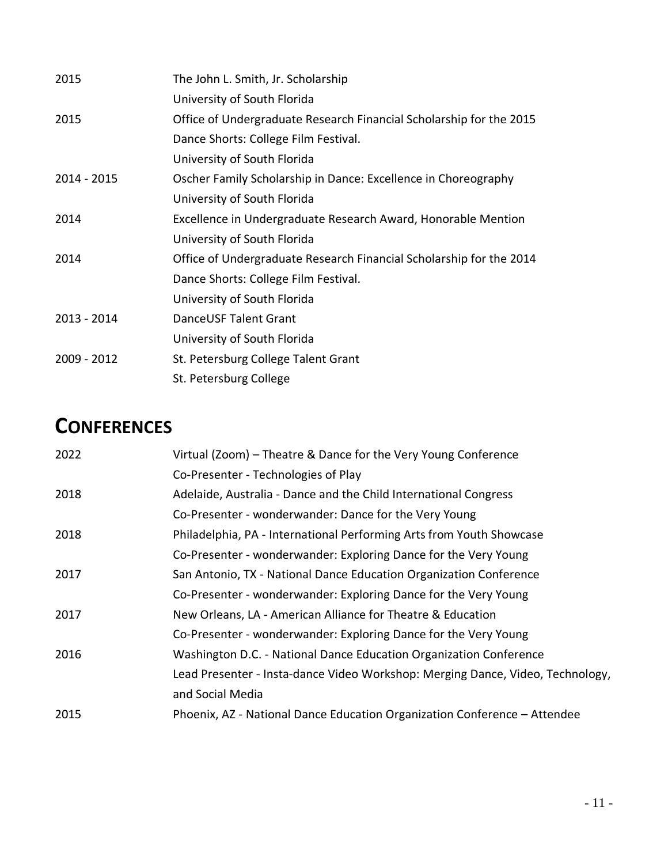| 2015        | The John L. Smith, Jr. Scholarship                                  |
|-------------|---------------------------------------------------------------------|
|             | University of South Florida                                         |
| 2015        | Office of Undergraduate Research Financial Scholarship for the 2015 |
|             | Dance Shorts: College Film Festival.                                |
|             | University of South Florida                                         |
| 2014 - 2015 | Oscher Family Scholarship in Dance: Excellence in Choreography      |
|             | University of South Florida                                         |
| 2014        | Excellence in Undergraduate Research Award, Honorable Mention       |
|             | University of South Florida                                         |
| 2014        | Office of Undergraduate Research Financial Scholarship for the 2014 |
|             | Dance Shorts: College Film Festival.                                |
|             | University of South Florida                                         |
| 2013 - 2014 | DanceUSF Talent Grant                                               |
|             | University of South Florida                                         |
| 2009 - 2012 | St. Petersburg College Talent Grant                                 |
|             | St. Petersburg College                                              |

# **CONFERENCES**

| 2022 | Virtual (Zoom) – Theatre & Dance for the Very Young Conference                 |
|------|--------------------------------------------------------------------------------|
|      | Co-Presenter - Technologies of Play                                            |
| 2018 | Adelaide, Australia - Dance and the Child International Congress               |
|      | Co-Presenter - wonderwander: Dance for the Very Young                          |
| 2018 | Philadelphia, PA - International Performing Arts from Youth Showcase           |
|      | Co-Presenter - wonderwander: Exploring Dance for the Very Young                |
| 2017 | San Antonio, TX - National Dance Education Organization Conference             |
|      | Co-Presenter - wonderwander: Exploring Dance for the Very Young                |
| 2017 | New Orleans, LA - American Alliance for Theatre & Education                    |
|      | Co-Presenter - wonderwander: Exploring Dance for the Very Young                |
| 2016 | Washington D.C. - National Dance Education Organization Conference             |
|      | Lead Presenter - Insta-dance Video Workshop: Merging Dance, Video, Technology, |
|      | and Social Media                                                               |
| 2015 | Phoenix, AZ - National Dance Education Organization Conference - Attendee      |